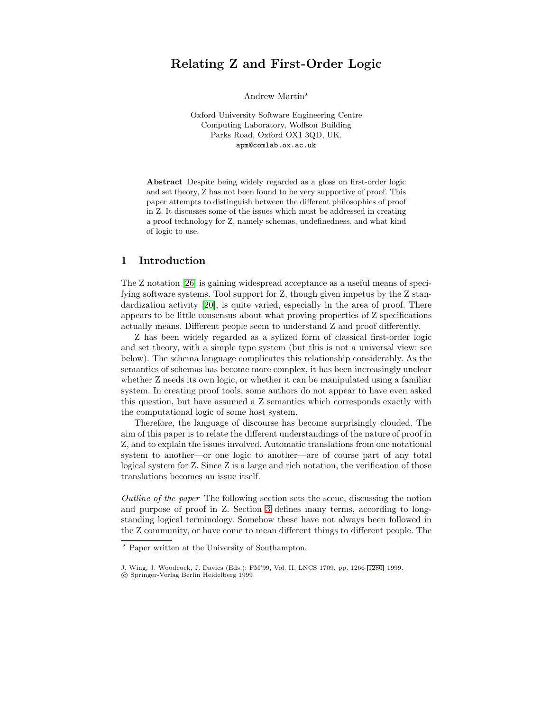# **Relating Z and First-Order Logic**

Andrew Martin?

Oxford University Software Engineering Centre Computing Laboratory, Wolfson Building Parks Road, Oxford OX1 3QD, UK. apm@comlab.ox.ac.uk

**Abstract** Despite being widely regarded as a gloss on first-order logic and set theory, Z has not been found to be very supportive of proof. This paper attempts to distinguish between the different philosophies of proof in Z. It discusses some of the issues which must be addressed in creating a proof technology for Z, namely schemas, undefinedness, and what kind of logic to use.

## **1 Introduction**

The Z notation [\[26\]](#page-14-0) is gaining widespread acceptance as a useful means of specifying software systems. Tool support for Z, though given impetus by the Z standardization activity [\[20\]](#page-13-0), is quite varied, especially in the area of proof. There appears to be little consensus about what proving properties of Z specifications actually means. Different people seem to understand Z and proof differently.

Z has been widely regarded as a sylized form of classical first-order logic and set theory, with a simple type system (but this is not a universal view; see below). The schema language complicates this relationship considerably. As the semantics of schemas has become more complex, it has been increasingly unclear whether Z needs its own logic, or whether it can be manipulated using a familiar system. In creating proof tools, some authors do not appear to have even asked this question, but have assumed a Z semantics which corresponds exactly with the computational logic of some host system.

Therefore, the language of discourse has become surprisingly clouded. The aim of this paper is to relate the different understandings of the nature of proof in Z, and to explain the issues involved. Automatic translations from one notational system to another—or one logic to another—are of course part of any total logical system for Z. Since Z is a large and rich notation, the verification of those translations becomes an issue itself.

*Outline of the paper* The following section sets the scene, discussing the notion and purpose of proof in Z. Section [3](#page-2-0) defines many terms, according to longstanding logical terminology. Somehow these have not always been followed in the Z community, or have come to mean different things to different people. The

<sup>?</sup> Paper written at the University of Southampton.

J. Wing, J. Woodcock, J. Davies (Eds.): FM'99, Vol. II, LNCS 1709, pp. 1266[–1280,](#page-14-1) 1999.

c Springer-Verlag Berlin Heidelberg 1999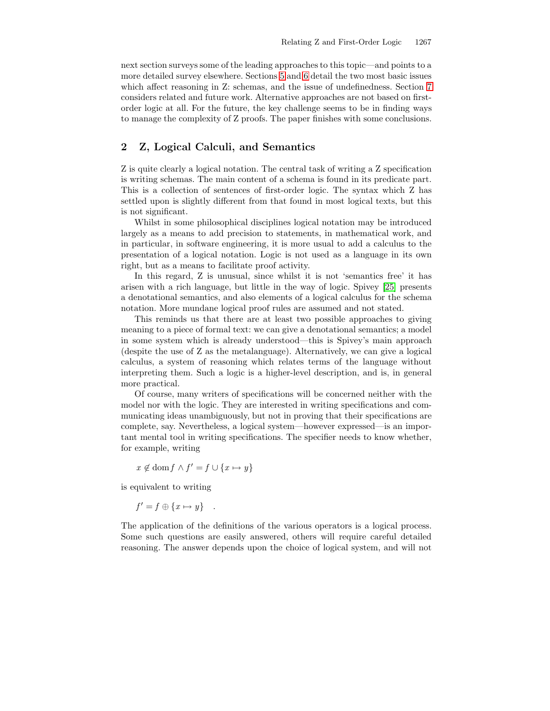next section surveys some of the leading approaches to this topic—and points to a more detailed survey elsewhere. Sections [5](#page-6-0) and [6](#page-8-0) detail the two most basic issues which affect reasoning in Z: schemas, and the issue of undefinedness. Section [7](#page-11-0) considers related and future work. Alternative approaches are not based on firstorder logic at all. For the future, the key challenge seems to be in finding ways to manage the complexity of Z proofs. The paper finishes with some conclusions.

## **2 Z, Logical Calculi, and Semantics**

Z is quite clearly a logical notation. The central task of writing a Z specification is writing schemas. The main content of a schema is found in its predicate part. This is a collection of sentences of first-order logic. The syntax which Z has settled upon is slightly different from that found in most logical texts, but this is not significant.

Whilst in some philosophical disciplines logical notation may be introduced largely as a means to add precision to statements, in mathematical work, and in particular, in software engineering, it is more usual to add a calculus to the presentation of a logical notation. Logic is not used as a language in its own right, but as a means to facilitate proof activity.

In this regard, Z is unusual, since whilst it is not 'semantics free' it has arisen with a rich language, but little in the way of logic. Spivey [\[25\]](#page-14-2) presents a denotational semantics, and also elements of a logical calculus for the schema notation. More mundane logical proof rules are assumed and not stated.

This reminds us that there are at least two possible approaches to giving meaning to a piece of formal text: we can give a denotational semantics; a model in some system which is already understood—this is Spivey's main approach (despite the use of Z as the metalanguage). Alternatively, we can give a logical calculus, a system of reasoning which relates terms of the language without interpreting them. Such a logic is a higher-level description, and is, in general more practical.

Of course, many writers of specifications will be concerned neither with the model nor with the logic. They are interested in writing specifications and communicating ideas unambiguously, but not in proving that their specifications are complete, say. Nevertheless, a logical system—however expressed—is an important mental tool in writing specifications. The specifier needs to know whether, for example, writing

$$
x \notin \text{dom}\, f \land f' = f \cup \{x \mapsto y\}
$$

is equivalent to writing

 $f' = f \oplus \{x \mapsto y\}$ .

The application of the definitions of the various operators is a logical process. Some such questions are easily answered, others will require careful detailed reasoning. The answer depends upon the choice of logical system, and will not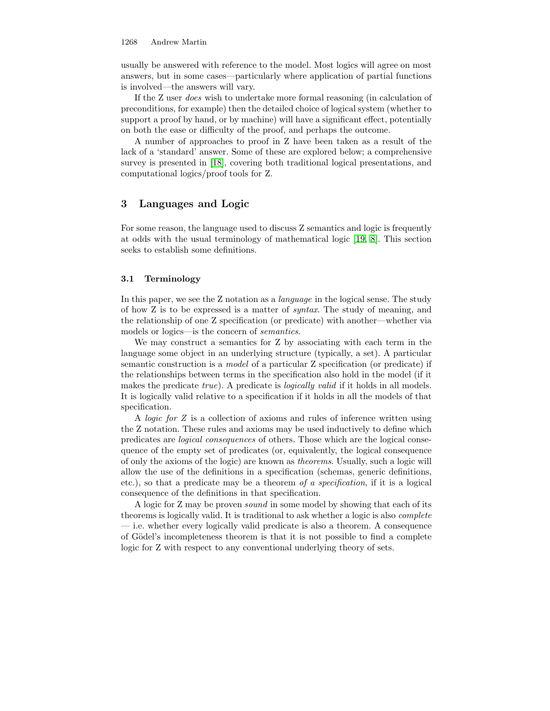usually be answered with reference to the model. Most logics will agree on most answers, but in some cases—particularly where application of partial functions is involved—the answers will vary.

If the Z user *does* wish to undertake more formal reasoning (in calculation of preconditions, for example) then the detailed choice of logical system (whether to support a proof by hand, or by machine) will have a significant effect, potentially on both the ease or difficulty of the proof, and perhaps the outcome.

A number of approaches to proof in Z have been taken as a result of the lack of a 'standard' answer. Some of these are explored below; a comprehensive survey is presented in [\[18\]](#page-13-1), covering both traditional logical presentations, and computational logics/proof tools for Z.

# <span id="page-2-0"></span>**3 Languages and Logic**

For some reason, the language used to discuss Z semantics and logic is frequently at odds with the usual terminology of mathematical logic [\[19,](#page-13-2) [8\]](#page-13-3). This section seeks to establish some definitions.

## **3.1 Terminology**

In this paper, we see the Z notation as a *language* in the logical sense. The study of how Z is to be expressed is a matter of *syntax*. The study of meaning, and the relationship of one Z specification (or predicate) with another—whether via models or logics—is the concern of *semantics*.

We may construct a semantics for Z by associating with each term in the language some object in an underlying structure (typically, a set). A particular semantic construction is a *model* of a particular Z specification (or predicate) if the relationships between terms in the specification also hold in the model (if it makes the predicate *true*). A predicate is *logically valid* if it holds in all models. It is logically valid relative to a specification if it holds in all the models of that specification.

A *logic for Z* is a collection of axioms and rules of inference written using the Z notation. These rules and axioms may be used inductively to define which predicates are *logical consequences* of others. Those which are the logical consequence of the empty set of predicates (or, equivalently, the logical consequence of only the axioms of the logic) are known as *theorems*. Usually, such a logic will allow the use of the definitions in a specification (schemas, generic definitions, etc.), so that a predicate may be a theorem *of a specification*, if it is a logical consequence of the definitions in that specification.

A logic for Z may be proven *sound* in some model by showing that each of its theorems is logically valid. It is traditional to ask whether a logic is also *complete* — i.e. whether every logically valid predicate is also a theorem. A consequence of Gödel's incompleteness theorem is that it is not possible to find a complete logic for Z with respect to any conventional underlying theory of sets.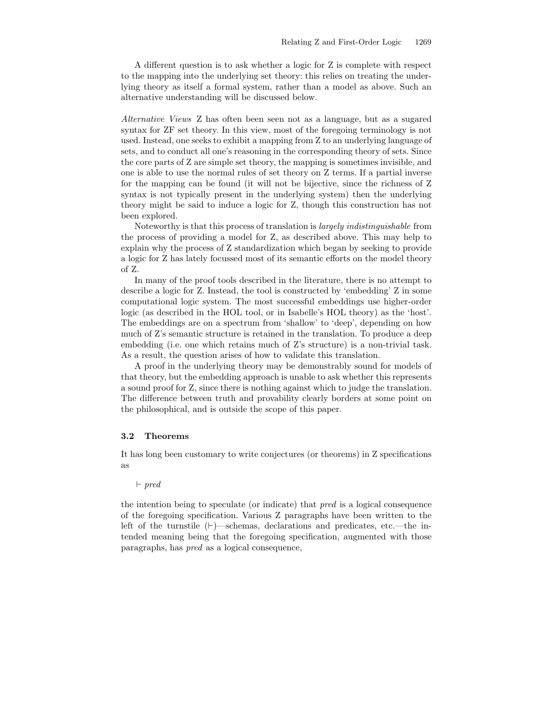A different question is to ask whether a logic for Z is complete with respect to the mapping into the underlying set theory: this relies on treating the underlying theory as itself a formal system, rather than a model as above. Such an alternative understanding will be discussed below.

*Alternative Views* Z has often been seen not as a language, but as a sugared syntax for ZF set theory. In this view, most of the foregoing terminology is not used. Instead, one seeks to exhibit a mapping from Z to an underlying language of sets, and to conduct all one's reasoning in the corresponding theory of sets. Since the core parts of Z are simple set theory, the mapping is sometimes invisible, and one is able to use the normal rules of set theory on Z terms. If a partial inverse for the mapping can be found (it will not be bijective, since the richness of Z syntax is not typically present in the underlying system) then the underlying theory might be said to induce a logic for Z, though this construction has not been explored.

Noteworthy is that this process of translation is *largely indistinguishable* from the process of providing a model for Z, as described above. This may help to explain why the process of Z standardization which began by seeking to provide a logic for Z has lately focussed most of its semantic efforts on the model theory of Z.

In many of the proof tools described in the literature, there is no attempt to describe a logic for Z. Instead, the tool is constructed by 'embedding' Z in some computational logic system. The most successful embeddings use higher-order logic (as described in the HOL tool, or in Isabelle's HOL theory) as the 'host'. The embeddings are on a spectrum from 'shallow' to 'deep', depending on how much of Z's semantic structure is retained in the translation. To produce a deep embedding (i.e. one which retains much of Z's structure) is a non-trivial task. As a result, the question arises of how to validate this translation.

A proof in the underlying theory may be demonstrably sound for models of that theory, but the embedding approach is unable to ask whether this represents a sound proof for Z, since there is nothing against which to judge the translation. The difference between truth and provability clearly borders at some point on the philosophical, and is outside the scope of this paper.

#### **3.2 Theorems**

It has long been customary to write conjectures (or theorems) in Z specifications as

 $\vdash pred$ 

the intention being to speculate (or indicate) that *pred* is a logical consequence of the foregoing specification. Various Z paragraphs have been written to the left of the turnstile  $(\vdash)$ —schemas, declarations and predicates, etc.—the intended meaning being that the foregoing specification, augmented with those paragraphs, has *pred* as a logical consequence,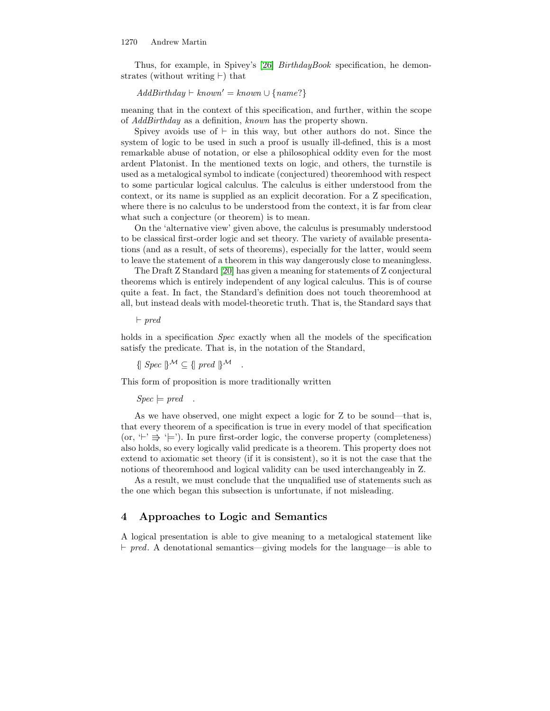Thus, for example, in Spivey's [\[26\]](#page-14-0) *BirthdayBook* specification, he demonstrates (without writing  $\vdash$ ) that

 $AddBirthday \vdash known' = known \cup \{name? \}$ 

meaning that in the context of this specification, and further, within the scope of *AddBirthday* as a definition, *known* has the property shown.

Spivey avoids use of  $\vdash$  in this way, but other authors do not. Since the system of logic to be used in such a proof is usually ill-defined, this is a most remarkable abuse of notation, or else a philosophical oddity even for the most ardent Platonist. In the mentioned texts on logic, and others, the turnstile is used as a metalogical symbol to indicate (conjectured) theoremhood with respect to some particular logical calculus. The calculus is either understood from the context, or its name is supplied as an explicit decoration. For a Z specification, where there is no calculus to be understood from the context, it is far from clear what such a conjecture (or theorem) is to mean.

On the 'alternative view' given above, the calculus is presumably understood to be classical first-order logic and set theory. The variety of available presentations (and as a result, of sets of theorems), especially for the latter, would seem to leave the statement of a theorem in this way dangerously close to meaningless.

The Draft Z Standard [\[20\]](#page-13-0) has given a meaning for statements of Z conjectural theorems which is entirely independent of any logical calculus. This is of course quite a feat. In fact, the Standard's definition does not touch theoremhood at all, but instead deals with model-theoretic truth. That is, the Standard says that

 $\vdash pred$ 

holds in a specification *Spec* exactly when all the models of the specification satisfy the predicate. That is, in the notation of the Standard,

 $\{ \mid Spec \mid \}^{\mathcal{M}} \subseteq \{ \mid pred \mid \}^{\mathcal{M}}$ 

This form of proposition is more traditionally written

 $Spec \models pred$ .

As we have observed, one might expect a logic for Z to be sound—that is, that every theorem of a specification is true in every model of that specification (or,  $\vdash$   $\Rightarrow$   $\vdash$ ). In pure first-order logic, the converse property (completeness) also holds, so every logically valid predicate is a theorem. This property does not extend to axiomatic set theory (if it is consistent), so it is not the case that the notions of theoremhood and logical validity can be used interchangeably in Z.

As a result, we must conclude that the unqualified use of statements such as the one which began this subsection is unfortunate, if not misleading.

# **4 Approaches to Logic and Semantics**

A logical presentation is able to give meaning to a metalogical statement like  $\vdash$  *pred*. A denotational semantics—giving models for the language—is able to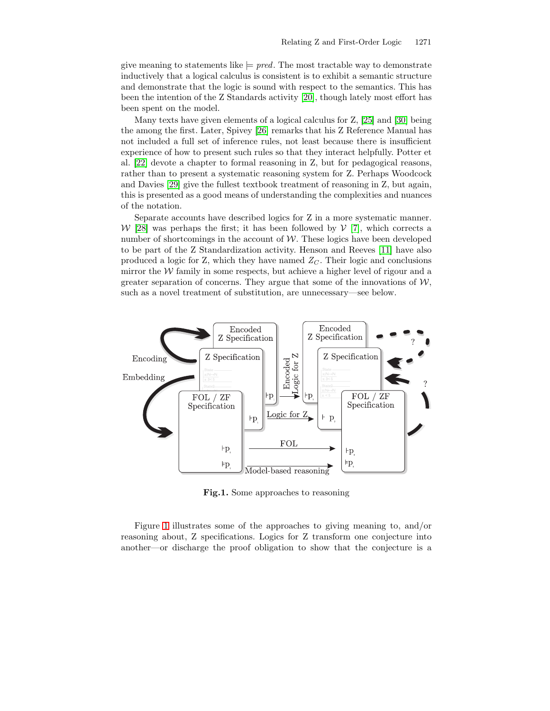give meaning to statements like  $= pred$ . The most tractable way to demonstrate inductively that a logical calculus is consistent is to exhibit a semantic structure and demonstrate that the logic is sound with respect to the semantics. This has been the intention of the Z Standards activity [\[20\]](#page-13-0), though lately most effort has been spent on the model.

Many texts have given elements of a logical calculus for Z, [\[25\]](#page-14-2) and [\[30\]](#page-14-3) being the among the first. Later, Spivey [\[26\]](#page-14-0) remarks that his Z Reference Manual has not included a full set of inference rules, not least because there is insufficient experience of how to present such rules so that they interact helpfully. Potter et al. [\[22\]](#page-13-4) devote a chapter to formal reasoning in Z, but for pedagogical reasons, rather than to present a systematic reasoning system for Z. Perhaps Woodcock and Davies [\[29\]](#page-14-4) give the fullest textbook treatment of reasoning in Z, but again, this is presented as a good means of understanding the complexities and nuances of the notation.

Separate accounts have described logics for Z in a more systematic manner.  $W$  [\[28\]](#page-14-5) was perhaps the first; it has been followed by  $V$  [\[7\]](#page-13-5), which corrects a number of shortcomings in the account of  $W$ . These logics have been developed to be part of the Z Standardization activity. Henson and Reeves [\[11\]](#page-13-6) have also produced a logic for  $Z$ , which they have named  $Z_C$ . Their logic and conclusions mirror the  $W$  family in some respects, but achieve a higher level of rigour and a greater separation of concerns. They argue that some of the innovations of  $W$ , such as a novel treatment of substitution, are unnecessary—see below.



<span id="page-5-0"></span>**Fig.1.** Some approaches to reasoning

Figure [1](#page-5-0) illustrates some of the approaches to giving meaning to, and/or reasoning about, Z specifications. Logics for Z transform one conjecture into another—or discharge the proof obligation to show that the conjecture is a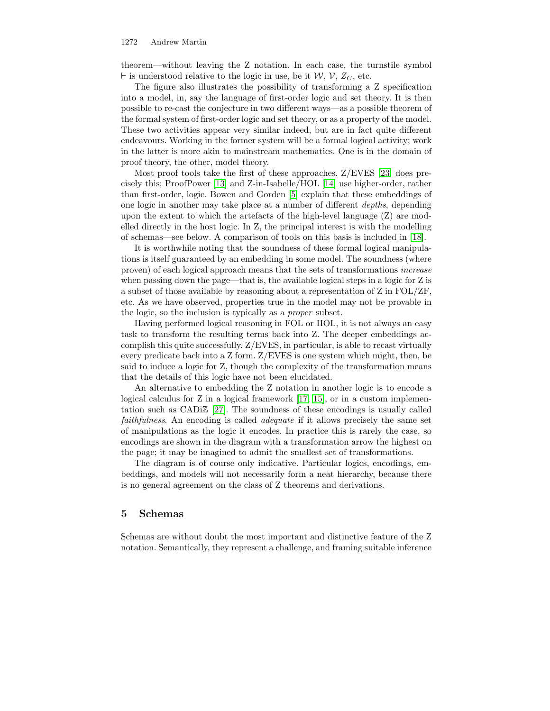theorem—without leaving the Z notation. In each case, the turnstile symbol  $\vdash$  is understood relative to the logic in use, be it  $W$ ,  $V$ ,  $Z_C$ , etc.

The figure also illustrates the possibility of transforming a Z specification into a model, in, say the language of first-order logic and set theory. It is then possible to re-cast the conjecture in two different ways—as a possible theorem of the formal system of first-order logic and set theory, or as a property of the model. These two activities appear very similar indeed, but are in fact quite different endeavours. Working in the former system will be a formal logical activity; work in the latter is more akin to mainstream mathematics. One is in the domain of proof theory, the other, model theory.

Most proof tools take the first of these approaches. Z/EVES [\[23\]](#page-13-7) does precisely this; ProofPower [\[13\]](#page-13-8) and Z-in-Isabelle/HOL [\[14\]](#page-13-9) use higher-order, rather than first-order, logic. Bowen and Gorden [\[5\]](#page-12-0) explain that these embeddings of one logic in another may take place at a number of different *depths*, depending upon the extent to which the artefacts of the high-level language (Z) are modelled directly in the host logic. In Z, the principal interest is with the modelling of schemas—see below. A comparison of tools on this basis is included in [\[18\]](#page-13-1).

It is worthwhile noting that the soundness of these formal logical manipulations is itself guaranteed by an embedding in some model. The soundness (where proven) of each logical approach means that the sets of transformations *increase* when passing down the page—that is, the available logical steps in a logic for Z is a subset of those available by reasoning about a representation of Z in FOL/ZF, etc. As we have observed, properties true in the model may not be provable in the logic, so the inclusion is typically as a *proper* subset.

Having performed logical reasoning in FOL or HOL, it is not always an easy task to transform the resulting terms back into Z. The deeper embeddings accomplish this quite successfully. Z/EVES, in particular, is able to recast virtually every predicate back into a Z form. Z/EVES is one system which might, then, be said to induce a logic for Z, though the complexity of the transformation means that the details of this logic have not been elucidated.

An alternative to embedding the Z notation in another logic is to encode a logical calculus for Z in a logical framework [\[17,](#page-13-10) [15\]](#page-13-11), or in a custom implementation such as CADi<sup>Z</sup> [\[27\]](#page-14-6). The soundness of these encodings is usually called *faithfulness*. An encoding is called *adequate* if it allows precisely the same set of manipulations as the logic it encodes. In practice this is rarely the case, so encodings are shown in the diagram with a transformation arrow the highest on the page; it may be imagined to admit the smallest set of transformations.

The diagram is of course only indicative. Particular logics, encodings, embeddings, and models will not necessarily form a neat hierarchy, because there is no general agreement on the class of Z theorems and derivations.

# <span id="page-6-0"></span>**5 Schemas**

Schemas are without doubt the most important and distinctive feature of the Z notation. Semantically, they represent a challenge, and framing suitable inference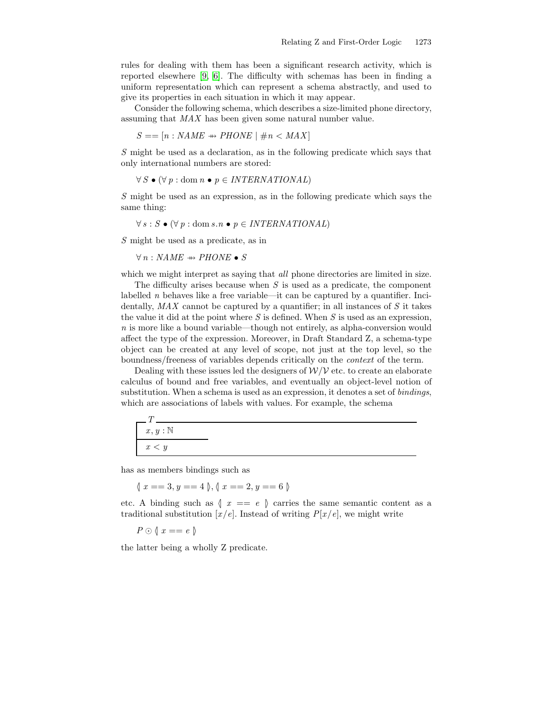rules for dealing with them has been a significant research activity, which is reported elsewhere [\[9,](#page-13-12) [6\]](#page-13-13). The difficulty with schemas has been in finding a uniform representation which can represent a schema abstractly, and used to give its properties in each situation in which it may appear.

Consider the following schema, which describes a size-limited phone directory, assuming that *MAX* has been given some natural number value.

$$
S == [n : NAME \nrightarrow PHONE \mid \#n < MAX]
$$

*S* might be used as a declaration, as in the following predicate which says that only international numbers are stored:

$$
\forall S \bullet (\forall p : \text{dom } n \bullet p \in \text{INTERNATIONAL})
$$

*S* might be used as an expression, as in the following predicate which says the same thing:

$$
\forall s: S \bullet (\forall p: \text{dom } s.n \bullet p \in \text{INTERNATIONAL})
$$

*S* might be used as a predicate, as in

 $\forall n : \textit{NAME} \rightarrow \textit{PHONE} \bullet \textit{S}$ 

which we might interpret as saying that *all* phone directories are limited in size.

The difficulty arises because when *S* is used as a predicate, the component labelled *n* behaves like a free variable—it can be captured by a quantifier. Incidentally, *MAX* cannot be captured by a quantifier; in all instances of *S* it takes the value it did at the point where *S* is defined. When *S* is used as an expression, *n* is more like a bound variable—though not entirely, as alpha-conversion would affect the type of the expression. Moreover, in Draft Standard Z, a schema-type object can be created at any level of scope, not just at the top level, so the boundness/freeness of variables depends critically on the *context* of the term.

Dealing with these issues led the designers of  $\mathcal{W} / \mathcal{V}$  etc. to create an elaborate calculus of bound and free variables, and eventually an object-level notion of substitution. When a schema is used as an expression, it denotes a set of *bindings*, which are associations of labels with values. For example, the schema

| $x, y : \mathbb{N}$ |  |  |
|---------------------|--|--|
| $x < y$             |  |  |

has as members bindings such as

 $\langle x \, z = 3, y == 4 \, \rangle, \langle x \, z = 2, y == 6 \, \rangle$ 

etc. A binding such as  $\langle x \rangle = e$  arries the same semantic content as a traditional substitution  $[x/e]$ . Instead of writing  $P[x/e]$ , we might write

 $P \odot \langle x == e \rangle$ 

the latter being a wholly Z predicate.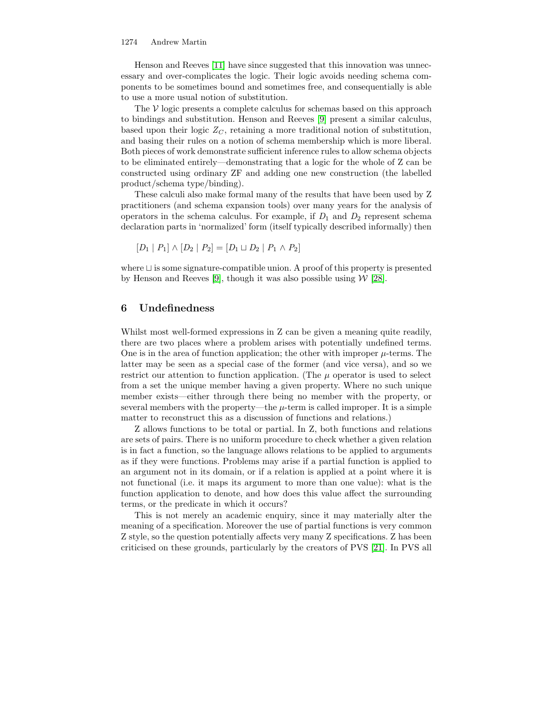Henson and Reeves [\[11\]](#page-13-6) have since suggested that this innovation was unnecessary and over-complicates the logic. Their logic avoids needing schema components to be sometimes bound and sometimes free, and consequentially is able to use a more usual notion of substitution.

The  $\mathcal V$  logic presents a complete calculus for schemas based on this approach to bindings and substitution. Henson and Reeves [\[9\]](#page-13-12) present a similar calculus, based upon their logic  $Z_C$ , retaining a more traditional notion of substitution, and basing their rules on a notion of schema membership which is more liberal. Both pieces of work demonstrate sufficient inference rules to allow schema objects to be eliminated entirely—demonstrating that a logic for the whole of Z can be constructed using ordinary ZF and adding one new construction (the labelled product/schema type/binding).

These calculi also make formal many of the results that have been used by Z practitioners (and schema expansion tools) over many years for the analysis of operators in the schema calculus. For example, if  $D_1$  and  $D_2$  represent schema declaration parts in 'normalized' form (itself typically described informally) then

$$
[D_1 | P_1] \wedge [D_2 | P_2] = [D_1 \sqcup D_2 | P_1 \wedge P_2]
$$

where  $\sqcup$  is some signature-compatible union. A proof of this property is presented by Henson and Reeves [\[9\]](#page-13-12), though it was also possible using  $W$  [\[28\]](#page-14-5).

# <span id="page-8-0"></span>**6 Undefinedness**

Whilst most well-formed expressions in Z can be given a meaning quite readily, there are two places where a problem arises with potentially undefined terms. One is in the area of function application; the other with improper  $\mu$ -terms. The latter may be seen as a special case of the former (and vice versa), and so we restrict our attention to function application. (The  $\mu$  operator is used to select from a set the unique member having a given property. Where no such unique member exists—either through there being no member with the property, or several members with the property—the  $\mu$ -term is called improper. It is a simple matter to reconstruct this as a discussion of functions and relations.)

Z allows functions to be total or partial. In Z, both functions and relations are sets of pairs. There is no uniform procedure to check whether a given relation is in fact a function, so the language allows relations to be applied to arguments as if they were functions. Problems may arise if a partial function is applied to an argument not in its domain, or if a relation is applied at a point where it is not functional (i.e. it maps its argument to more than one value): what is the function application to denote, and how does this value affect the surrounding terms, or the predicate in which it occurs?

This is not merely an academic enquiry, since it may materially alter the meaning of a specification. Moreover the use of partial functions is very common Z style, so the question potentially affects very many Z specifications. Z has been criticised on these grounds, particularly by the creators of PVS [\[21\]](#page-13-14). In PVS all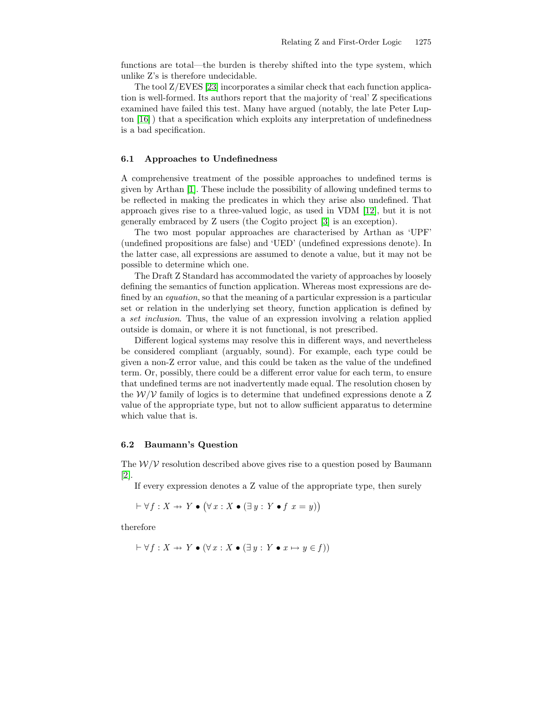functions are total—the burden is thereby shifted into the type system, which unlike Z's is therefore undecidable.

The tool Z/EVES [\[23\]](#page-13-7) incorporates a similar check that each function application is well-formed. Its authors report that the majority of 'real' Z specifications examined have failed this test. Many have argued (notably, the late Peter Lupton [\[16\]](#page-13-15) ) that a specification which exploits any interpretation of undefinedness is a bad specification.

#### **6.1 Approaches to Undefinedness**

A comprehensive treatment of the possible approaches to undefined terms is given by Arthan [\[1\]](#page-12-1). These include the possibility of allowing undefined terms to be reflected in making the predicates in which they arise also undefined. That approach gives rise to a three-valued logic, as used in VDM [\[12\]](#page-13-16), but it is not generally embraced by Z users (the Cogito project [\[3\]](#page-12-2) is an exception).

The two most popular approaches are characterised by Arthan as 'UPF' (undefined propositions are false) and 'UED' (undefined expressions denote). In the latter case, all expressions are assumed to denote a value, but it may not be possible to determine which one.

The Draft Z Standard has accommodated the variety of approaches by loosely defining the semantics of function application. Whereas most expressions are defined by an *equation*, so that the meaning of a particular expression is a particular set or relation in the underlying set theory, function application is defined by a *set inclusion*. Thus, the value of an expression involving a relation applied outside is domain, or where it is not functional, is not prescribed.

Different logical systems may resolve this in different ways, and nevertheless be considered compliant (arguably, sound). For example, each type could be given a non-Z error value, and this could be taken as the value of the undefined term. Or, possibly, there could be a different error value for each term, to ensure that undefined terms are not inadvertently made equal. The resolution chosen by the  $W/V$  family of logics is to determine that undefined expressions denote a Z value of the appropriate type, but not to allow sufficient apparatus to determine which value that is.

#### **6.2 Baumann's Question**

The  $W/V$  resolution described above gives rise to a question posed by Baumann [\[2\]](#page-12-3).

If every expression denotes a Z value of the appropriate type, then surely

$$
\vdash \forall f: X \to Y \bullet (\forall x: X \bullet (\exists y: Y \bullet f \ x = y))
$$

therefore

 $\forall f : X \rightarrow Y \bullet (\forall x : X \bullet (\exists y : Y \bullet x \mapsto y \in f))$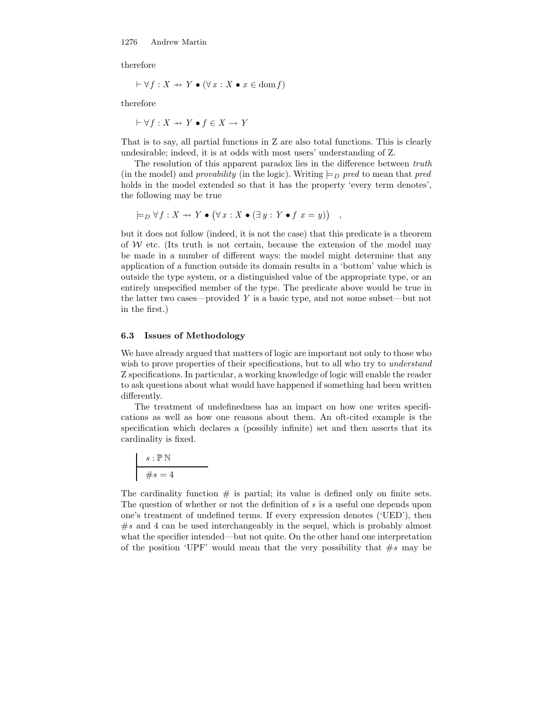therefore

$$
\vdash \forall f: X \to Y \bullet (\forall x: X \bullet x \in \text{dom} f)
$$

therefore

 $\vdash \forall f : X \rightarrow Y \bullet f \in X \rightarrow Y$ 

That is to say, all partial functions in Z are also total functions. This is clearly undesirable; indeed, it is at odds with most users' understanding of Z.

The resolution of this apparent paradox lies in the difference between *truth* (in the model) and *provability* (in the logic). Writing  $\models_D$  *pred* to mean that *pred* holds in the model extended so that it has the property 'every term denotes', the following may be true

$$
\models_D \forall f: X \rightarrow Y \bullet (\forall x: X \bullet (\exists y: Y \bullet f \ x = y)) ,
$$

but it does not follow (indeed, it is not the case) that this predicate is a theorem of  $W$  etc. (Its truth is not certain, because the extension of the model may be made in a number of different ways: the model might determine that any application of a function outside its domain results in a 'bottom' value which is outside the type system, or a distinguished value of the appropriate type, or an entirely unspecified member of the type. The predicate above would be true in the latter two cases—provided *Y* is a basic type, and not some subset—but not in the first.)

#### **6.3 Issues of Methodology**

We have already argued that matters of logic are important not only to those who wish to prove properties of their specifications, but to all who try to *understand* Z specifications. In particular, a working knowledge of logic will enable the reader to ask questions about what would have happened if something had been written differently.

The treatment of undefinedness has an impact on how one writes specifications as well as how one reasons about them. An oft-cited example is the specification which declares a (possibly infinite) set and then asserts that its cardinality is fixed.

$$
s: \mathbb{P} \mathbb{N}
$$
  
# $s = 4$ 

The cardinality function  $\#$  is partial; its value is defined only on finite sets. The question of whether or not the definition of *s* is a useful one depends upon one's treatment of undefined terms. If every expression denotes ('UED'), then #*s* and 4 can be used interchangeably in the sequel, which is probably almost what the specifier intended—but not quite. On the other hand one interpretation of the position 'UPF' would mean that the very possibility that  $\#s$  may be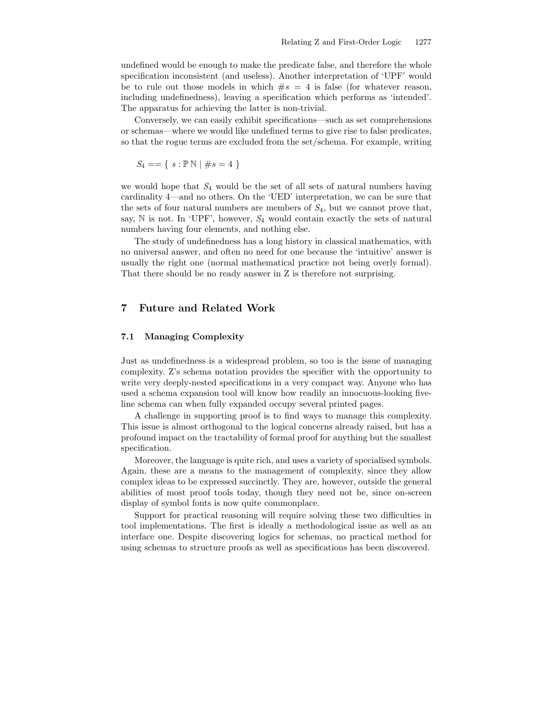undefined would be enough to make the predicate false, and therefore the whole specification inconsistent (and useless). Another interpretation of 'UPF' would be to rule out those models in which  $\#s = 4$  is false (for whatever reason, including undefinedness), leaving a specification which performs as 'intended'. The apparatus for achieving the latter is non-trivial.

Conversely, we can easily exhibit specifications—such as set comprehensions or schemas—where we would like undefined terms to give rise to false predicates, so that the rogue terms are excluded from the set/schema. For example, writing

$$
S_4 = \{ s : \mathbb{PN} \mid \#s = 4 \}
$$

we would hope that *S*<sup>4</sup> would be the set of all sets of natural numbers having cardinality 4—and no others. On the 'UED' interpretation, we can be sure that the sets of four natural numbers are members of *S*4, but we cannot prove that, say, <sup>N</sup> is not. In 'UPF', however, *S*<sup>4</sup> would contain exactly the sets of natural numbers having four elements, and nothing else.

The study of undefinedness has a long history in classical mathematics, with no universal answer, and often no need for one because the 'intuitive' answer is usually the right one (normal mathematical practice not being overly formal). That there should be no ready answer in Z is therefore not surprising.

# <span id="page-11-0"></span>**7 Future and Related Work**

### **7.1 Managing Complexity**

Just as undefinedness is a widespread problem, so too is the issue of managing complexity. Z's schema notation provides the specifier with the opportunity to write very deeply-nested specifications in a very compact way. Anyone who has used a schema expansion tool will know how readily an innocuous-looking fiveline schema can when fully expanded occupy several printed pages.

A challenge in supporting proof is to find ways to manage this complexity. This issue is almost orthogonal to the logical concerns already raised, but has a profound impact on the tractability of formal proof for anything but the smallest specification.

Moreover, the language is quite rich, and uses a variety of specialised symbols. Again, these are a means to the management of complexity, since they allow complex ideas to be expressed succinctly. They are, however, outside the general abilities of most proof tools today, though they need not be, since on-screen display of symbol fonts is now quite commonplace.

Support for practical reasoning will require solving these two difficulties in tool implementations. The first is ideally a methodological issue as well as an interface one. Despite discovering logics for schemas, no practical method for using schemas to structure proofs as well as specifications has been discovered.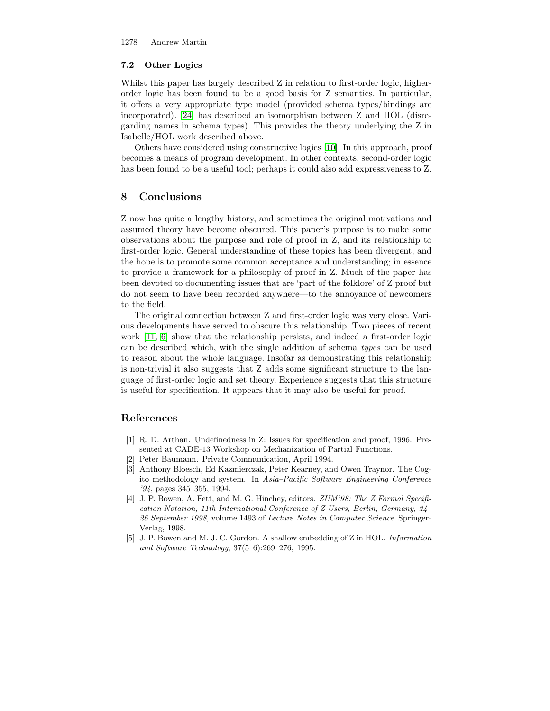### **7.2 Other Logics**

Whilst this paper has largely described Z in relation to first-order logic, higherorder logic has been found to be a good basis for Z semantics. In particular, it offers a very appropriate type model (provided schema types/bindings are incorporated). [\[24\]](#page-13-17) has described an isomorphism between Z and HOL (disregarding names in schema types). This provides the theory underlying the Z in Isabelle/HOL work described above.

Others have considered using constructive logics [\[10\]](#page-13-18). In this approach, proof becomes a means of program development. In other contexts, second-order logic has been found to be a useful tool; perhaps it could also add expressiveness to Z.

## **8 Conclusions**

Z now has quite a lengthy history, and sometimes the original motivations and assumed theory have become obscured. This paper's purpose is to make some observations about the purpose and role of proof in Z, and its relationship to first-order logic. General understanding of these topics has been divergent, and the hope is to promote some common acceptance and understanding; in essence to provide a framework for a philosophy of proof in Z. Much of the paper has been devoted to documenting issues that are 'part of the folklore' of Z proof but do not seem to have been recorded anywhere—to the annoyance of newcomers to the field.

The original connection between Z and first-order logic was very close. Various developments have served to obscure this relationship. Two pieces of recent work [\[11,](#page-13-6) [6\]](#page-13-13) show that the relationship persists, and indeed a first-order logic can be described which, with the single addition of schema *types* can be used to reason about the whole language. Insofar as demonstrating this relationship is non-trivial it also suggests that Z adds some significant structure to the language of first-order logic and set theory. Experience suggests that this structure is useful for specification. It appears that it may also be useful for proof.

# <span id="page-12-1"></span>**References**

- [1] R. D. Arthan. Undefinedness in Z: Issues for specification and proof, 1996. Presented at CADE-13 Workshop on Mechanization of Partial Functions.
- <span id="page-12-3"></span><span id="page-12-2"></span>[2] Peter Baumann. Private Communication, April 1994.
- [3] Anthony Bloesch, Ed Kazmierczak, Peter Kearney, and Owen Traynor. The Cogito methodology and system. In Asia–Pacific Software Engineering Conference '94, pages 345–355, 1994.
- <span id="page-12-4"></span>[4] J. P. Bowen, A. Fett, and M. G. Hinchey, editors. ZUM'98: The Z Formal Specification Notation, 11th International Conference of Z Users, Berlin, Germany, 24– 26 September 1998, volume 1493 of Lecture Notes in Computer Science. Springer-Verlag, 1998.
- <span id="page-12-0"></span>[5] J. P. Bowen and M. J. C. Gordon. A shallow embedding of Z in HOL. Information and Software Technology, 37(5–6):269–276, 1995.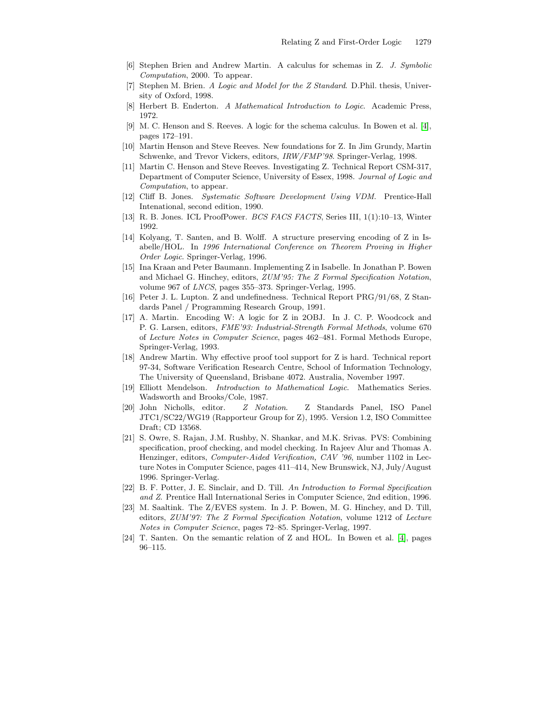- <span id="page-13-13"></span><span id="page-13-5"></span>[6] Stephen Brien and Andrew Martin. A calculus for schemas in Z. J. Symbolic Computation, 2000. To appear.
- [7] Stephen M. Brien. A Logic and Model for the Z Standard. D.Phil. thesis, University of Oxford, 1998.
- <span id="page-13-12"></span><span id="page-13-3"></span>[8] Herbert B. Enderton. A Mathematical Introduction to Logic. Academic Press, 1972.
- [9] M. C. Henson and S. Reeves. A logic for the schema calculus. In Bowen et al. [\[4\]](#page-12-4), pages 172–191.
- <span id="page-13-18"></span><span id="page-13-6"></span>[10] Martin Henson and Steve Reeves. New foundations for Z. In Jim Grundy, Martin Schwenke, and Trevor Vickers, editors, IRW/FMP'98. Springer-Verlag, 1998.
- [11] Martin C. Henson and Steve Reeves. Investigating Z. Technical Report CSM-317, Department of Computer Science, University of Essex, 1998. Journal of Logic and Computation, to appear.
- <span id="page-13-16"></span>[12] Cliff B. Jones. Systematic Software Development Using VDM. Prentice-Hall Intenational, second edition, 1990.
- <span id="page-13-9"></span><span id="page-13-8"></span>[13] R. B. Jones. ICL ProofPower. BCS FACS FACTS, Series III, 1(1):10–13, Winter 1992.
- [14] Kolyang, T. Santen, and B. Wolff. A structure preserving encoding of Z in Isabelle/HOL. In 1996 International Conference on Theorem Proving in Higher Order Logic. Springer-Verlag, 1996.
- <span id="page-13-11"></span>[15] Ina Kraan and Peter Baumann. Implementing Z in Isabelle. In Jonathan P. Bowen and Michael G. Hinchey, editors, ZUM'95: The Z Formal Specification Notation, volume 967 of LNCS, pages 355–373. Springer-Verlag, 1995.
- <span id="page-13-15"></span>[16] Peter J. L. Lupton. Z and undefinedness. Technical Report PRG/91/68, Z Standards Panel / Programming Research Group, 1991.
- <span id="page-13-10"></span>[17] A. Martin. Encoding W: A logic for Z in 2OBJ. In J. C. P. Woodcock and P. G. Larsen, editors, FME'93: Industrial-Strength Formal Methods, volume 670 of Lecture Notes in Computer Science, pages 462–481. Formal Methods Europe, Springer-Verlag, 1993.
- <span id="page-13-1"></span>[18] Andrew Martin. Why effective proof tool support for Z is hard. Technical report 97-34, Software Verification Research Centre, School of Information Technology, The University of Queensland, Brisbane 4072. Australia, November 1997.
- <span id="page-13-2"></span>[19] Elliott Mendelson. Introduction to Mathematical Logic. Mathematics Series. Wadsworth and Brooks/Cole, 1987.
- <span id="page-13-0"></span>[20] John Nicholls, editor. Z Notation. Z Standards Panel, ISO Panel JTC1/SC22/WG19 (Rapporteur Group for Z), 1995. Version 1.2, ISO Committee Draft; CD 13568.
- <span id="page-13-14"></span>[21] S. Owre, S. Rajan, J.M. Rushby, N. Shankar, and M.K. Srivas. PVS: Combining specification, proof checking, and model checking. In Rajeev Alur and Thomas A. Henzinger, editors, Computer-Aided Verification, CAV '96, number 1102 in Lecture Notes in Computer Science, pages 411–414, New Brunswick, NJ, July/August 1996. Springer-Verlag.
- <span id="page-13-4"></span>[22] B. F. Potter, J. E. Sinclair, and D. Till. An Introduction to Formal Specification and Z. Prentice Hall International Series in Computer Science, 2nd edition, 1996.
- <span id="page-13-7"></span>[23] M. Saaltink. The Z/EVES system. In J. P. Bowen, M. G. Hinchey, and D. Till, editors, ZUM'97: The Z Formal Specification Notation, volume 1212 of Lecture Notes in Computer Science, pages 72–85. Springer-Verlag, 1997.
- <span id="page-13-17"></span>[24] T. Santen. On the semantic relation of Z and HOL. In Bowen et al. [\[4\]](#page-12-4), pages 96–115.